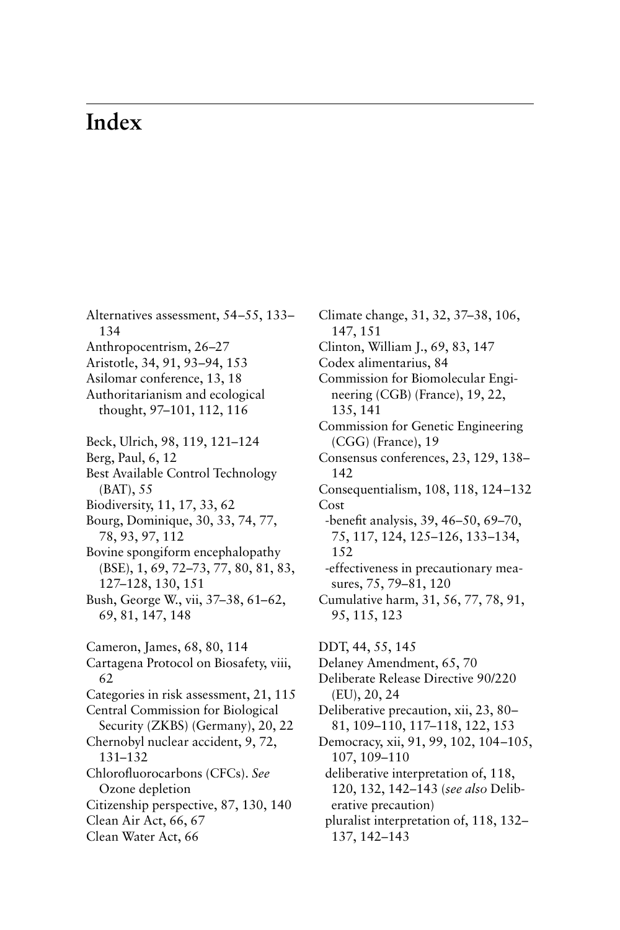## **Index**

Alternatives assessment, 54–55, 133– 134 Anthropocentrism, 26–27 Aristotle, 34, 91, 93–94, 153 Asilomar conference, 13, 18 Authoritarianism and ecological thought, 97–101, 112, 116 Beck, Ulrich, 98, 119, 121–124 Berg, Paul, 6, 12 Best Available Control Technology (BAT), 55 Biodiversity, 11, 17, 33, 62 Bourg, Dominique, 30, 33, 74, 77, 78, 93, 97, 112 Bovine spongiform encephalopathy (BSE), 1, 69, 72–73, 77, 80, 81, 83, 127–128, 130, 151 Bush, George W., vii, 37–38, 61–62, 69, 81, 147, 148 Cameron, James, 68, 80, 114 Cartagena Protocol on Biosafety, viii, 62 Categories in risk assessment, 21, 115 Central Commission for Biological Security (ZKBS) (Germany), 20, 22 Chernobyl nuclear accident, 9, 72, 131–132 Chlorofluorocarbons (CFCs). *See* Ozone depletion Citizenship perspective, 87, 130, 140 Clean Air Act, 66, 67 Clean Water Act, 66

Climate change, 31, 32, 37–38, 106, 147, 151 Clinton, William J., 69, 83, 147 Codex alimentarius, 84 Commission for Biomolecular Engineering (CGB) (France), 19, 22, 135, 141 Commission for Genetic Engineering (CGG) (France), 19 Consensus conferences, 23, 129, 138– 142 Consequentialism, 108, 118, 124–132 Cost -benefit analysis, 39, 46–50, 69–70, 75, 117, 124, 125–126, 133–134, 152 -effectiveness in precautionary measures, 75, 79–81, 120 Cumulative harm, 31, 56, 77, 78, 91, 95, 115, 123 DDT, 44, 55, 145 Delaney Amendment, 65, 70 Deliberate Release Directive 90/220 (EU), 20, 24 Deliberative precaution, xii, 23, 80– 81, 109–110, 117–118, 122, 153 Democracy, xii, 91, 99, 102, 104–105,

107, 109–110 deliberative interpretation of, 118, 120, 132, 142–143 (*see also* Deliberative precaution)

pluralist interpretation of, 118, 132– 137, 142–143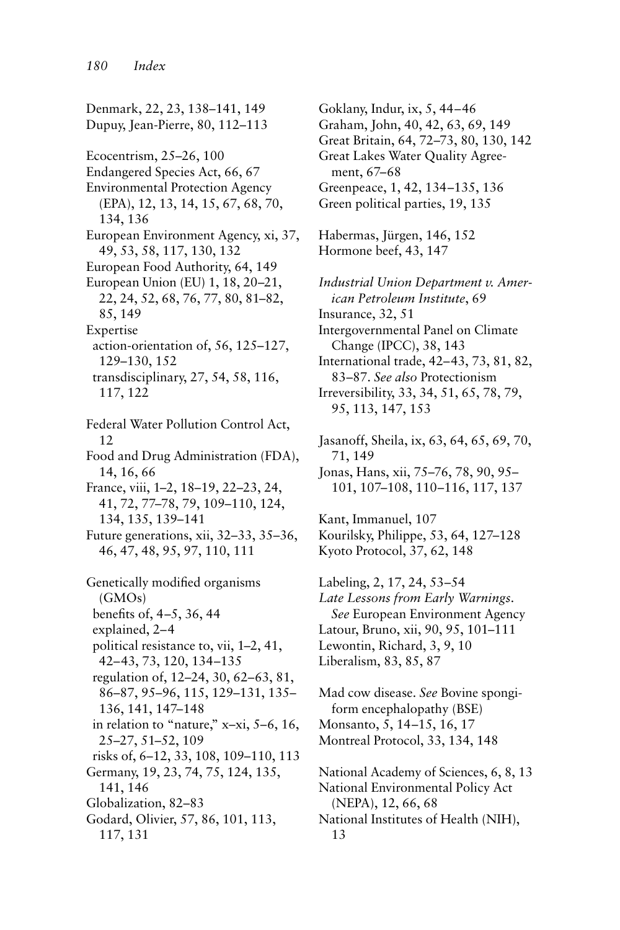Denmark, 22, 23, 138–141, 149 Dupuy, Jean-Pierre, 80, 112–113 Ecocentrism, 25–26, 100 Endangered Species Act, 66, 67 Environmental Protection Agency (EPA), 12, 13, 14, 15, 67, 68, 70, 134, 136 European Environment Agency, xi, 37, 49, 53, 58, 117, 130, 132 European Food Authority, 64, 149 European Union (EU) 1, 18, 20–21, 22, 24, 52, 68, 76, 77, 80, 81–82, 85, 149 Expertise action-orientation of, 56, 125–127, 129–130, 152 transdisciplinary, 27, 54, 58, 116, 117, 122 Federal Water Pollution Control Act, 12 Food and Drug Administration (FDA), 14, 16, 66 France, viii, 1–2, 18–19, 22–23, 24, 41, 72, 77–78, 79, 109–110, 124, 134, 135, 139–141 Future generations, xii, 32–33, 35–36, 46, 47, 48, 95, 97, 110, 111 Genetically modified organisms (GMOs) benefits of, 4–5, 36, 44 explained, 2–4 political resistance to, vii, 1–2, 41, 42–43, 73, 120, 134–135 regulation of, 12–24, 30, 62–63, 81, 86–87, 95–96, 115, 129–131, 135– 136, 141, 147–148 in relation to "nature," x–xi, 5–6, 16, 25–27, 51–52, 109 risks of, 6–12, 33, 108, 109–110, 113 Germany, 19, 23, 74, 75, 124, 135, 141, 146 Globalization, 82–83 Godard, Olivier, 57, 86, 101, 113, 117, 131

Goklany, Indur, ix, 5, 44–46 Graham, John, 40, 42, 63, 69, 149 Great Britain, 64, 72–73, 80, 130, 142 Great Lakes Water Quality Agreement, 67–68 Greenpeace, 1, 42, 134–135, 136 Green political parties, 19, 135 Habermas, Jürgen, 146, 152 Hormone beef, 43, 147 *Industrial Union Department v. American Petroleum Institute*, 69 Insurance, 32, 51 Intergovernmental Panel on Climate Change (IPCC), 38, 143 International trade, 42–43, 73, 81, 82, 83–87. *See also* Protectionism Irreversibility, 33, 34, 51, 65, 78, 79, 95, 113, 147, 153 Jasanoff, Sheila, ix, 63, 64, 65, 69, 70, 71, 149 Jonas, Hans, xii, 75–76, 78, 90, 95– 101, 107–108, 110–116, 117, 137 Kant, Immanuel, 107 Kourilsky, Philippe, 53, 64, 127–128 Kyoto Protocol, 37, 62, 148 Labeling, 2, 17, 24, 53–54 *Late Lessons from Early Warnings*. *See* European Environment Agency Latour, Bruno, xii, 90, 95, 101–111 Lewontin, Richard, 3, 9, 10 Liberalism, 83, 85, 87 Mad cow disease. *See* Bovine spongiform encephalopathy (BSE) Monsanto, 5, 14–15, 16, 17 Montreal Protocol, 33, 134, 148

National Academy of Sciences, 6, 8, 13 National Environmental Policy Act (NEPA), 12, 66, 68 National Institutes of Health (NIH), 13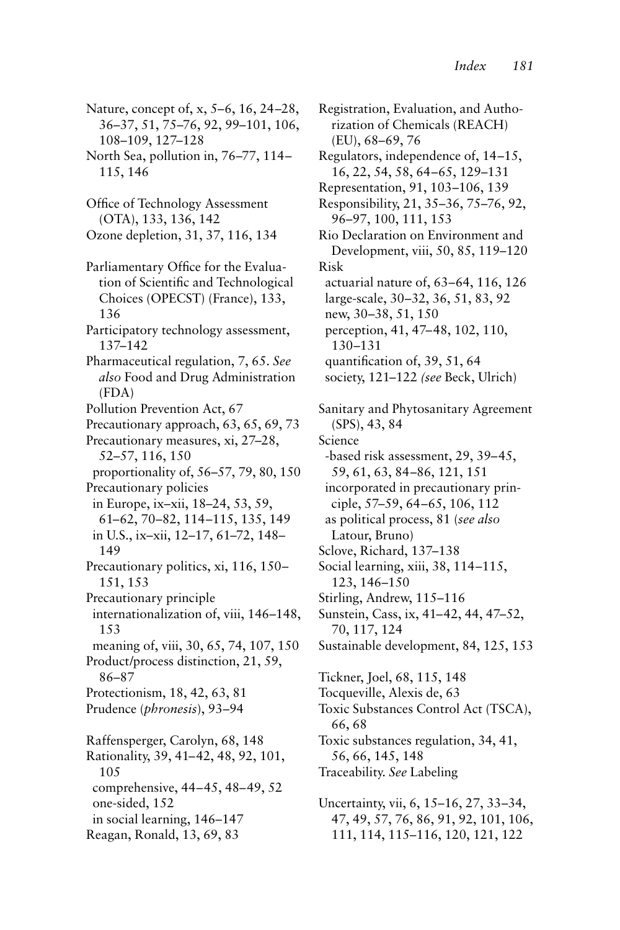Nature, concept of, x, 5–6, 16, 24–28, 36–37, 51, 75–76, 92, 99–101, 106, 108–109, 127–128

North Sea, pollution in, 76–77, 114– 115, 146

Office of Technology Assessment (OTA), 133, 136, 142 Ozone depletion, 31, 37, 116, 134

137–142

Pharmaceutical regulation, 7, 65. *See also* Food and Drug Administration (FDA)

Pollution Prevention Act, 67

Precautionary approach, 63, 65, 69, 73 Precautionary measures, xi, 27–28, 52–57, 116, 150 proportionality of, 56–57, 79, 80, 150

Precautionary policies in Europe, ix–xii, 18–24, 53, 59, 61–62, 70–82, 114–115, 135, 149 in U.S., ix–xii, 12–17, 61–72, 148– 149 Precautionary politics, xi, 116, 150–

151, 153 Precautionary principle

internationalization of, viii, 146–148, 153 meaning of, viii, 30, 65, 74, 107, 150

Product/process distinction, 21, 59, 86–87 Protectionism, 18, 42, 63, 81

Prudence (*phronesis*), 93–94

Raffensperger, Carolyn, 68, 148 Rationality, 39, 41–42, 48, 92, 101, 105 comprehensive, 44–45, 48–49, 52 one-sided, 152 in social learning, 146–147 Reagan, Ronald, 13, 69, 83

Registration, Evaluation, and Authorization of Chemicals (REACH) (EU), 68–69, 76 Regulators, independence of, 14–15, 16, 22, 54, 58, 64–65, 129–131 Representation, 91, 103–106, 139 Responsibility, 21, 35–36, 75–76, 92, 96–97, 100, 111, 153 Rio Declaration on Environment and Development, viii, 50, 85, 119–120 Risk actuarial nature of, 63–64, 116, 126 large-scale, 30–32, 36, 51, 83, 92 new, 30–38, 51, 150 perception, 41, 47–48, 102, 110, 130–131 quantification of, 39, 51, 64 society, 121–122 *(see* Beck, Ulrich) Sanitary and Phytosanitary Agreement (SPS), 43, 84 Science -based risk assessment, 29, 39–45, 59, 61, 63, 84–86, 121, 151 incorporated in precautionary principle, 57–59, 64–65, 106, 112 as political process, 81 (*see also* Latour, Bruno) Sclove, Richard, 137–138 Social learning, xiii, 38, 114–115, 123, 146–150 Stirling, Andrew, 115–116 Sunstein, Cass, ix, 41–42, 44, 47–52, 70, 117, 124 Sustainable development, 84, 125, 153 Tickner, Joel, 68, 115, 148 Tocqueville, Alexis de, 63 Toxic Substances Control Act (TSCA), 66, 68 Toxic substances regulation, 34, 41, 56, 66, 145, 148

Traceability. *See* Labeling

Uncertainty, vii, 6, 15–16, 27, 33–34, 47, 49, 57, 76, 86, 91, 92, 101, 106, 111, 114, 115–116, 120, 121, 122

Parliamentary Office for the Evaluation of Scientific and Technological Choices (OPECST) (France), 133, 136 Participatory technology assessment,